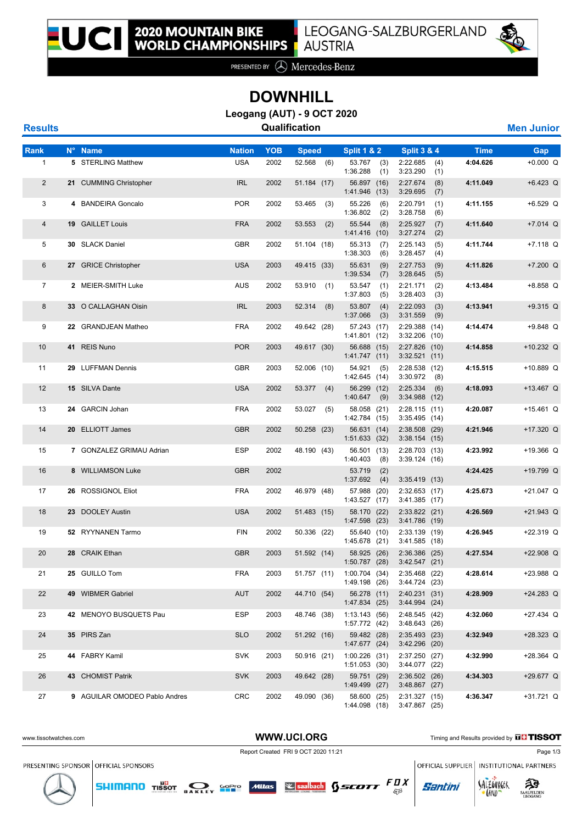

PRESENTED BY **A** Mercedes-Benz

## **DOWNHILL**

**Leogang (AUT) - 9 OCT 2020**

| <b>Results</b> | Qualification | <b>Men Junior</b> |
|----------------|---------------|-------------------|
|----------------|---------------|-------------------|

| Rank           | N° Name                       | <b>Nation</b> | <b>YOB</b> | <b>Speed</b>  | <b>Split 1 &amp; 2</b>           | <b>Split 3 &amp; 4</b>               | <b>Time</b> | Gap         |
|----------------|-------------------------------|---------------|------------|---------------|----------------------------------|--------------------------------------|-------------|-------------|
| $\mathbf{1}$   | 5 STERLING Matthew            | <b>USA</b>    | 2002       | 52.568 (6)    | 53.767<br>(3)<br>1:36.288<br>(1) | 2:22.685<br>(4)<br>3:23.290<br>(1)   | 4:04.626    | $+0.000 Q$  |
| $\overline{2}$ | 21 CUMMING Christopher        | <b>IRL</b>    | 2002       | 51.184 (17)   | 56.897 (16)<br>1:41.946 (13)     | 2:27.674<br>(8)<br>3:29.695<br>(7)   | 4:11.049    | $+6.423$ Q  |
| 3              | 4 BANDEIRA Goncalo            | <b>POR</b>    | 2002       | 53.465<br>(3) | 55.226<br>(6)<br>1:36.802<br>(2) | 2:20.791<br>(1)<br>3:28.758<br>(6)   | 4:11.155    | $+6.529$ Q  |
| 4              | 19 GAILLET Louis              | <b>FRA</b>    | 2002       | 53.553<br>(2) | 55.544<br>(8)<br>1:41.416(10)    | 2:25.927<br>(7)<br>3:27.274<br>(2)   | 4:11.640    | $+7.014$ Q  |
| 5              | 30 SLACK Daniel               | <b>GBR</b>    | 2002       | 51.104 (18)   | 55.313<br>(7)<br>1:38.303<br>(6) | 2:25.143<br>(5)<br>3:28.457<br>(4)   | 4:11.744    | $+7.118$ Q  |
| 6              | 27 GRICE Christopher          | <b>USA</b>    | 2003       | 49.415 (33)   | 55.631<br>(9)<br>1:39.534<br>(7) | 2:27.753<br>(9)<br>3:28.645<br>(5)   | 4:11.826    | $+7.200$ Q  |
| $\overline{7}$ | 2 MEIER-SMITH Luke            | AUS           | 2002       | 53.910<br>(1) | 53.547<br>(1)<br>1:37.803<br>(5) | 2:21.171<br>(2)<br>3:28.403<br>(3)   | 4:13.484    | $+8.858$ Q  |
| 8              | 33 O CALLAGHAN Oisin          | <b>IRL</b>    | 2003       | 52.314<br>(8) | 53.807<br>(4)<br>1:37.066<br>(3) | 2:22.093<br>(3)<br>3:31.559<br>(9)   | 4:13.941    | $+9.315$ Q  |
| 9              | 22 GRANDJEAN Matheo           | <b>FRA</b>    | 2002       | 49.642 (28)   | 57.243 (17)<br>1:41.801 (12)     | 2:29.388<br>(14)<br>3:32.206<br>(10) | 4:14.474    | $+9.848$ Q  |
| 10             | 41 REIS Nuno                  | <b>POR</b>    | 2003       | 49.617 (30)   | 56.688 (15)<br>1:41.747(11)      | 2:27.826<br>(10)<br>$3:32.521$ (11)  | 4:14.858    | $+10.232$ Q |
| 11             | 29 LUFFMAN Dennis             | <b>GBR</b>    | 2003       | 52.006 (10)   | 54.921<br>(5)<br>1:42.645(14)    | 2:28.538 (12)<br>3:30.972<br>(8)     | 4:15.515    | +10.889 Q   |
| 12             | 15 SILVA Dante                | <b>USA</b>    | 2002       | 53.377<br>(4) | 56.299 (12)<br>1:40.647<br>(9)   | 2:25.334<br>(6)<br>3:34.988<br>(12)  | 4:18.093    | $+13.467$ Q |
| 13             | 24 GARCIN Johan               | <b>FRA</b>    | 2002       | 53.027<br>(5) | 58.058 (21)<br>1:42.784 (15)     | 2:28.115(11)<br>$3:35.495$ (14)      | 4:20.087    | $+15.461$ Q |
| 14             | 20 ELLIOTT James              | <b>GBR</b>    | 2002       | 50.258 (23)   | 56.631 (14)<br>1:51.633(32)      | 2:38.508<br>(29)<br>3:38.154(15)     | 4:21.946    | +17.320 Q   |
| 15             | 7 GONZALEZ GRIMAU Adrian      | <b>ESP</b>    | 2002       | 48.190 (43)   | 56.501 (13)<br>1:40.403<br>(8)   | 2:28.703 (13)<br>3:39.124(16)        | 4:23.992    | $+19.366$ Q |
| 16             | 8 WILLIAMSON Luke             | <b>GBR</b>    | 2002       |               | 53.719<br>(2)<br>1:37.692<br>(4) | 3:35.419(13)                         | 4:24.425    | +19.799 Q   |
| 17             | 26 ROSSIGNOL Eliot            | <b>FRA</b>    | 2002       | 46.979 (48)   | 57.988 (20)<br>1:43.527 (17)     | $2:32.653$ (17)<br>3:41.385 (17)     | 4:25.673    | $+21.047$ Q |
| 18             | 23 DOOLEY Austin              | <b>USA</b>    | 2002       | 51.483 (15)   | 58.170 (22)<br>1:47.598 (23)     | 2:33.822 (21)<br>3:41.786<br>(19)    | 4:26.569    | $+21.943$ Q |
| 19             | 52 RYYNANEN Tarmo             | <b>FIN</b>    | 2002       | 50.336 (22)   | 55.640 (10)<br>1:45.678 (21)     | 2:33.139 (19)<br>3:41.585 (18)       | 4:26.945    | $+22.319$ Q |
| 20             | 28 CRAIK Ethan                | <b>GBR</b>    | 2003       | 51.592 (14)   | 58.925 (26)<br>1:50.787 (28)     | 2:36.386<br>(25)<br>3:42.547(21)     | 4:27.534    | $+22.908$ Q |
| 21             | 25 GUILLO Tom                 | <b>FRA</b>    | 2003       | 51.757 (11)   | 1:00.704(34)<br>1:49.198 (26)    | 2:35.468 (22)<br>3:44.724 (23)       | 4:28.614    | $+23.988$ Q |
| 22             | 49 WIBMER Gabriel             | <b>AUT</b>    | 2002       | 44.710 (54)   | 56.278 (11)<br>1:47.834 (25)     | 2:40.231 (31)<br>3:44.994(24)        | 4:28.909    | $+24.283$ Q |
| 23             | 42 MENOYO BUSQUETS Pau        | ESP           | 2003       | 48.746 (38)   | 1:13.143(56)<br>1:57.772 (42)    | 2:48.545 (42)<br>3:48.643(26)        | 4:32.060    | $+27.434$ Q |
| 24             | 35 PIRS Zan                   | <b>SLO</b>    | 2002       | 51.292 (16)   | 59.482 (28)<br>1:47.677 (24)     | 2:35.493 (23)<br>3:42.296 (20)       | 4:32.949    | $+28.323$ Q |
| 25             | 44 FABRY Kamil                | <b>SVK</b>    | 2003       | 50.916 (21)   | 1:00.226 (31)<br>1:51.053(30)    | 2:37.250 (27)<br>3:44.077 (22)       | 4:32.990    | $+28.364$ Q |
| 26             | 43 CHOMIST Patrik             | <b>SVK</b>    | 2003       | 49.642 (28)   | 59.751 (29)<br>1:49.499 (27)     | 2:36.502(26)<br>$3:48.867$ (27)      | 4:34.303    | +29.677 Q   |
| 27             | 9 AGUILAR OMODEO Pablo Andres | <b>CRC</b>    | 2002       | 49.090 (36)   | 58.600 (25)<br>1:44.098 (18)     | 2:31.327 (15)<br>3:47.867 (25)       | 4:36.347    | $+31.721$ Q |





SALZOVREER

**LAND** 

**Santini** 

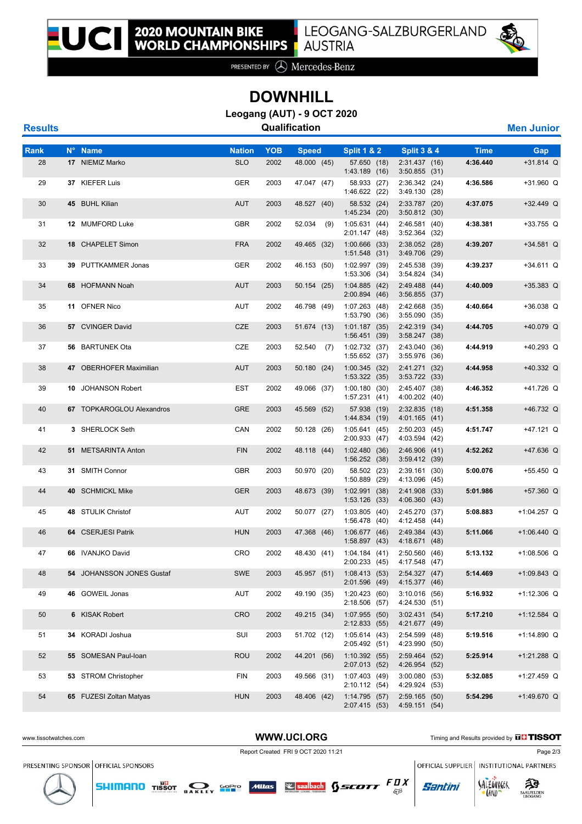

PRESENTED BY **A** Mercedes-Benz

## **DOWNHILL**

**Leogang (AUT) - 9 OCT 2020**

| <b>Results</b> | Qualification | <b>Men Junior</b> |
|----------------|---------------|-------------------|
|----------------|---------------|-------------------|

| Rank | N° Name                   | <b>Nation</b> | <b>YOB</b> | <b>Speed</b> | <b>Split 1 &amp; 2</b>             | <b>Split 3 &amp; 4</b>           | <b>Time</b> | Gap           |
|------|---------------------------|---------------|------------|--------------|------------------------------------|----------------------------------|-------------|---------------|
| 28   | 17 NIEMIZ Marko           | <b>SLO</b>    | 2002       | 48.000 (45)  | 57.650 (18)<br>1:43.189(16)        | 2:31.437(16)<br>$3:50.855$ (31)  | 4:36.440    | $+31.814$ Q   |
| 29   | 37 KIEFER Luis            | GER           | 2003       | 47.047 (47)  | 58.933 (27)<br>1:46.622(22)        | 2:36.342(24)<br>3:49.130(28)     | 4:36.586    | +31.960 Q     |
| 30   | 45 BUHL Kilian            | <b>AUT</b>    | 2003       | 48.527 (40)  | 58.532 (24)<br>1:45.234 (20)       | $2:33.787$ (20)<br>3:50.812(30)  | 4:37.075    | $+32.449$ Q   |
| 31   | 12 MUMFORD Luke           | <b>GBR</b>    | 2002       | $52.034$ (9) | 1:05.631(44)<br>2:01.147(48)       | 2:46.581(40)<br>3:52.364(32)     | 4:38.381    | $+33.755$ Q   |
| 32   | 18 CHAPELET Simon         | <b>FRA</b>    | 2002       | 49.465 (32)  | $1:00.666$ (33)<br>$1:51.548$ (31) | $2:38.052$ (28)<br>3:49.706 (29) | 4:39.207    | $+34.581$ Q   |
| 33   | 39 PUTTKAMMER Jonas       | GER           | 2002       | 46.153 (50)  | 1:02.997 (39)<br>$1:53.306$ (34)   | 2:45.538<br>(39)<br>3:54.824(34) | 4:39.237    | $+34.611$ Q   |
| 34   | 68 HOFMANN Noah           | <b>AUT</b>    | 2003       | 50.154 (25)  | 1:04.885(42)<br>2:00.894(46)       | 2:49.488(44)<br>$3:56.855$ (37)  | 4:40.009    | $+35.383$ Q   |
| 35   | 11 OFNER Nico             | AUT           | 2002       | 46.798 (49)  | 1:07.263(48)<br>1:53.790 (36)      | 2:42.668 (35)<br>3:55.090(35)    | 4:40.664    | +36.038 Q     |
| 36   | 57 CVINGER David          | CZE           | 2003       | 51.674 (13)  | 1:01.187(35)<br>1:56.451(39)       | 2:42.319(34)<br>3:58.247(38)     | 4:44.705    | +40.079 Q     |
| 37   | 56 BARTUNEK Ota           | CZE           | 2003       | 52.540 (7)   | 1:02.732 (37)<br>1:55.652 (37)     | 2:43.040 (36)<br>$3:55.976$ (36) | 4:44.919    | $+40.293$ Q   |
| 38   | 47 OBERHOFER Maximilian   | <b>AUT</b>    | 2003       | 50.180 (24)  | 1:00.345(32)<br>1:53.322 (35)      | 2:41.271(32)<br>3:53.722(33)     | 4:44.958    | $+40.332$ Q   |
| 39   | 10 JOHANSON Robert        | EST           | 2002       | 49.066 (37)  | 1:00.180(30)<br>1:57.231(41)       | 2:45.407 (38)<br>4:00.202 (40)   | 4:46.352    | +41.726 Q     |
| 40   | 67 TOPKAROGLOU Alexandros | <b>GRE</b>    | 2003       | 45.569 (52)  | 57.938 (19)<br>1:44.834(19)        | $2:32.835$ (18)<br>4:01.165(41)  | 4:51.358    | +46.732 Q     |
| 41   | 3 SHERLOCK Seth           | CAN           | 2002       | 50.128 (26)  | 1:05.641(45)<br>2:00.933(47)       | 2:50.203(45)<br>4:03.594 (42)    | 4:51.747    | +47.121 Q     |
| 42   | 51 METSARINTA Anton       | <b>FIN</b>    | 2002       | 48.118 (44)  | 1:02.480(36)<br>1:56.252(38)       | 2:46.906(41)<br>3:59.412(39)     | 4:52.262    | +47.636 Q     |
| 43   | 31 SMITH Connor           | <b>GBR</b>    | 2003       | 50.970 (20)  | 58.502 (23)<br>1:50.889 (29)       | 2:39.161(30)<br>4:13.096 (45)    | 5:00.076    | +55.450 Q     |
| 44   | 40 SCHMICKL Mike          | <b>GER</b>    | 2003       | 48.673 (39)  | 1:02.991(38)<br>$1:53.126$ (33)    | 2:41.908 (33)<br>4:06.360(43)    | 5:01.986    | +57.360 Q     |
| 45   | 48 STULIK Christof        | AUT           | 2002       | 50.077 (27)  | 1:03.805(40)<br>1:56.478(40)       | 2:45.270 (37)<br>4:12.458 (44)   | 5:08.883    | +1:04.257 Q   |
| 46   | 64 CSERJESI Patrik        | <b>HUN</b>    | 2003       | 47.368 (46)  | 1:06.677(46)<br>1:58.897(43)       | 2:49.384 (43)<br>4:18.671 (48)   | 5:11.066    | $+1:06.440$ Q |
| 47   | 66 IVANJKO David          | CRO           | 2002       | 48.430 (41)  | 1:04.184(41)<br>2:00.233(45)       | 2:50.560(46)<br>4:17.548 (47)    | 5:13.132    | $+1:08.506$ Q |
| 48   | 54 JOHANSSON JONES Gustaf | <b>SWE</b>    | 2003       | 45.957 (51)  | 1:08.413(53)<br>2:01.596(49)       | 2:54.327(47)<br>4:15.377 (46)    | 5:14.469    | $+1:09.843$ Q |
| 49   | 46 GOWEIL Jonas           | AUT           | 2002       | 49.190 (35)  | 1:20.423(60)<br>2:18.506 (57)      | $3:10.016$ (56)<br>4:24.530 (51) | 5:16.932    | $+1:12.306$ Q |
| 50   | 6 KISAK Robert            | <b>CRO</b>    | 2002       | 49.215 (34)  | 1:07.955(50)<br>2:12.833 (55)      | 3:02.431(54)<br>4:21.677 (49)    | 5:17.210    | $+1:12.584$ Q |
| 51   | 34 KORADI Joshua          | SUI           | 2003       | 51.702 (12)  | 1:05.614(43)<br>2:05.492 (51)      | 2:54.599 (48)<br>4:23.990 (50)   | 5:19.516    | $+1:14.890$ Q |
| 52   | 55 SOMESAN Paul-Ioan      | <b>ROU</b>    | 2002       | 44.201 (56)  | 1:10.392(55)<br>2:07.013 (52)      | 2:59.464 (52)<br>4:26.954 (52)   | 5:25.914    | +1:21.288 Q   |
| 53   | 53 STROM Christopher      | FIN           | 2003       | 49.566 (31)  | 1:07.403 (49)<br>2:10.112 (54)     | 3:00.080(53)<br>4:29.924 (53)    | 5:32.085    | $+1:27.459$ Q |
| 54   | 65 FUZESI Zoltan Matyas   | <b>HUN</b>    | 2003       | 48.406 (42)  | 1:14.795 (57)<br>2:07.415 (53)     | 2:59.165(50)<br>4:59.151 (54)    | 5:54.296    | +1:49.670 Q   |